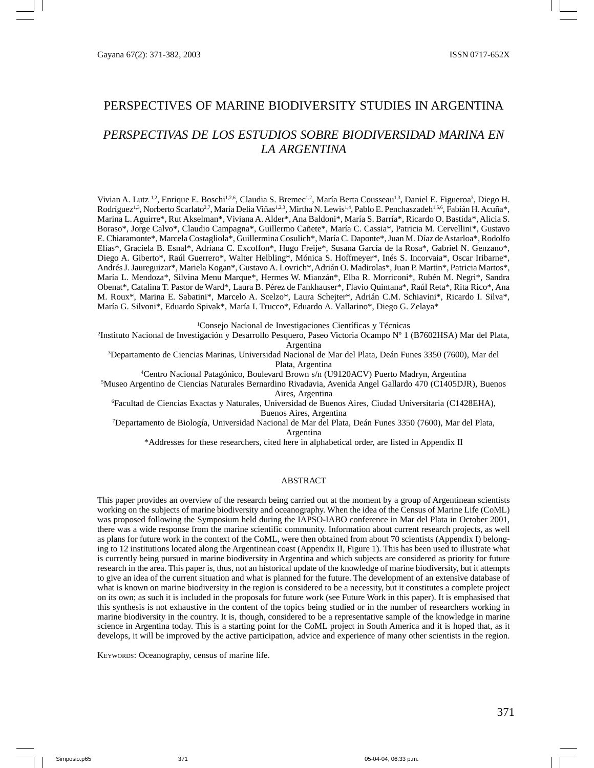# PERSPECTIVES OF MARINE BIODIVERSITY STUDIES IN ARGENTINA

# *PERSPECTIVAS DE LOS ESTUDIOS SOBRE BIODIVERSIDAD MARINA EN LA ARGENTINA*

Vivian A. Lutz <sup>1,2</sup>, Enrique E. Boschi<sup>1,2,6</sup>, Claudia S. Bremec<sup>1,2</sup>, María Berta Cousseau<sup>1,3</sup>, Daniel E. Figueroa<sup>3</sup>, Diego H. Rodríguez<sup>1,3</sup>, Norberto Scarlato<sup>2,7</sup>, María Delia Viñas<sup>1,2,3</sup>, Mirtha N. Lewis<sup>1,4</sup>, Pablo E. Penchaszadeh<sup>1,5,6</sup>, Fabián H. Acuña\*, Marina L. Aguirre\*, Rut Akselman\*, Viviana A. Alder\*, Ana Baldoni\*, María S. Barría\*, Ricardo O. Bastida\*, Alicia S. Boraso\*, Jorge Calvo\*, Claudio Campagna\*, Guillermo Cañete\*, María C. Cassia\*, Patricia M. Cervellini\*, Gustavo E. Chiaramonte\*, Marcela Costagliola\*, Guillermina Cosulich\*, María C. Daponte\*, Juan M. Díaz de Astarloa\*, Rodolfo Elías\*, Graciela B. Esnal\*, Adriana C. Excoffon\*, Hugo Freije\*, Susana García de la Rosa\*, Gabriel N. Genzano\*, Diego A. Giberto\*, Raúl Guerrero\*, Walter Helbling\*, Mónica S. Hoffmeyer\*, Inés S. Incorvaia\*, Oscar Iribarne\*, Andrés J. Jaureguizar\*, Mariela Kogan\*, Gustavo A. Lovrich\*, Adrián O. Madirolas\*, Juan P. Martin\*, Patricia Martos\*, María L. Mendoza\*, Silvina Menu Marque\*, Hermes W. Mianzán\*, Elba R. Morriconi\*, Rubén M. Negri\*, Sandra Obenat\*, Catalina T. Pastor de Ward\*, Laura B. Pérez de Fankhauser\*, Flavio Quintana\*, Raúl Reta\*, Rita Rico\*, Ana M. Roux\*, Marina E. Sabatini\*, Marcelo A. Scelzo\*, Laura Schejter\*, Adrián C.M. Schiavini\*, Ricardo I. Silva\*, María G. Silvoni\*, Eduardo Spivak\*, María I. Trucco\*, Eduardo A. Vallarino\*, Diego G. Zelaya\*

1 Consejo Nacional de Investigaciones Científicas y Técnicas

2 Instituto Nacional de Investigación y Desarrollo Pesquero, Paseo Victoria Ocampo Nº 1 (B7602HSA) Mar del Plata, Argentina

3 Departamento de Ciencias Marinas, Universidad Nacional de Mar del Plata, Deán Funes 3350 (7600), Mar del Plata, Argentina

4 Centro Nacional Patagónico, Boulevard Brown s/n (U9120ACV) Puerto Madryn, Argentina

5 Museo Argentino de Ciencias Naturales Bernardino Rivadavia, Avenida Angel Gallardo 470 (C1405DJR), Buenos Aires, Argentina

6 Facultad de Ciencias Exactas y Naturales, Universidad de Buenos Aires, Ciudad Universitaria (C1428EHA), Buenos Aires, Argentina

7 Departamento de Biología, Universidad Nacional de Mar del Plata, Deán Funes 3350 (7600), Mar del Plata, Argentina

\*Addresses for these researchers, cited here in alphabetical order, are listed in Appendix II

#### ABSTRACT

This paper provides an overview of the research being carried out at the moment by a group of Argentinean scientists working on the subjects of marine biodiversity and oceanography. When the idea of the Census of Marine Life (CoML) was proposed following the Symposium held during the IAPSO-IABO conference in Mar del Plata in October 2001, there was a wide response from the marine scientific community. Information about current research projects, as well as plans for future work in the context of the CoML, were then obtained from about 70 scientists (Appendix I) belonging to 12 institutions located along the Argentinean coast (Appendix II, Figure 1). This has been used to illustrate what is currently being pursued in marine biodiversity in Argentina and which subjects are considered as priority for future research in the area. This paper is, thus, not an historical update of the knowledge of marine biodiversity, but it attempts to give an idea of the current situation and what is planned for the future. The development of an extensive database of what is known on marine biodiversity in the region is considered to be a necessity, but it constitutes a complete project on its own; as such it is included in the proposals for future work (see Future Work in this paper). It is emphasised that this synthesis is not exhaustive in the content of the topics being studied or in the number of researchers working in marine biodiversity in the country. It is, though, considered to be a representative sample of the knowledge in marine science in Argentina today. This is a starting point for the CoML project in South America and it is hoped that, as it develops, it will be improved by the active participation, advice and experience of many other scientists in the region.

KEYWORDS: Oceanography, census of marine life.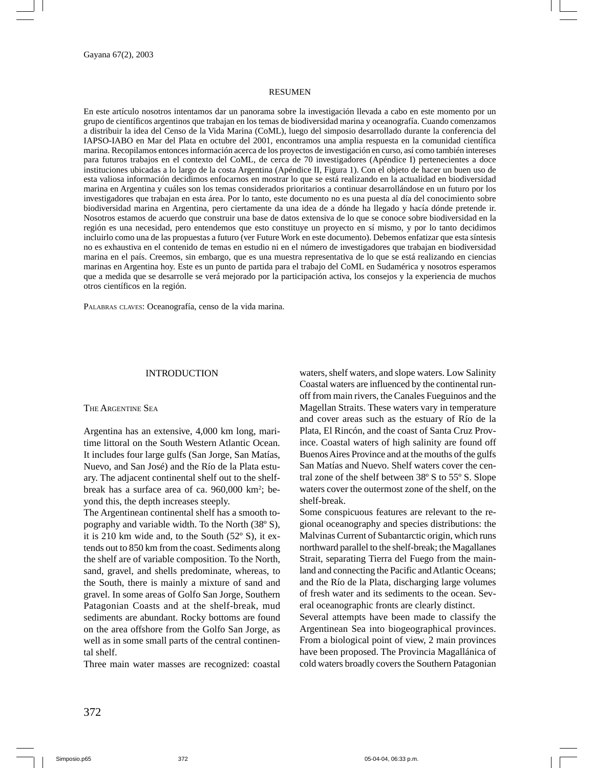#### RESUMEN

En este artículo nosotros intentamos dar un panorama sobre la investigación llevada a cabo en este momento por un grupo de científicos argentinos que trabajan en los temas de biodiversidad marina y oceanografía. Cuando comenzamos a distribuir la idea del Censo de la Vida Marina (CoML), luego del simposio desarrollado durante la conferencia del IAPSO-IABO en Mar del Plata en octubre del 2001, encontramos una amplia respuesta en la comunidad científica marina. Recopilamos entonces información acerca de los proyectos de investigación en curso, así como también intereses para futuros trabajos en el contexto del CoML, de cerca de 70 investigadores (Apéndice I) pertenecientes a doce instituciones ubicadas a lo largo de la costa Argentina (Apéndice II, Figura 1). Con el objeto de hacer un buen uso de esta valiosa información decidimos enfocarnos en mostrar lo que se está realizando en la actualidad en biodiversidad marina en Argentina y cuáles son los temas considerados prioritarios a continuar desarrollándose en un futuro por los investigadores que trabajan en esta área. Por lo tanto, este documento no es una puesta al día del conocimiento sobre biodiversidad marina en Argentina, pero ciertamente da una idea de a dónde ha llegado y hacía dónde pretende ir. Nosotros estamos de acuerdo que construir una base de datos extensiva de lo que se conoce sobre biodiversidad en la región es una necesidad, pero entendemos que esto constituye un proyecto en sí mismo, y por lo tanto decidimos incluirlo como una de las propuestas a futuro (ver Future Work en este documento). Debemos enfatizar que esta síntesis no es exhaustiva en el contenido de temas en estudio ni en el número de investigadores que trabajan en biodiversidad marina en el país. Creemos, sin embargo, que es una muestra representativa de lo que se está realizando en ciencias marinas en Argentina hoy. Este es un punto de partida para el trabajo del CoML en Sudamérica y nosotros esperamos que a medida que se desarrolle se verá mejorado por la participación activa, los consejos y la experiencia de muchos otros científicos en la región.

PALABRAS CLAVES: Oceanografía, censo de la vida marina.

#### INTRODUCTION

#### THE ARGENTINE SEA

Argentina has an extensive, 4,000 km long, maritime littoral on the South Western Atlantic Ocean. It includes four large gulfs (San Jorge, San Matías, Nuevo, and San José) and the Río de la Plata estuary. The adjacent continental shelf out to the shelfbreak has a surface area of ca. 960,000 km<sup>2</sup>; beyond this, the depth increases steeply.

The Argentinean continental shelf has a smooth topography and variable width. To the North (38º S), it is 210 km wide and, to the South (52º S), it extends out to 850 km from the coast. Sediments along the shelf are of variable composition. To the North, sand, gravel, and shells predominate, whereas, to the South, there is mainly a mixture of sand and gravel. In some areas of Golfo San Jorge, Southern Patagonian Coasts and at the shelf-break, mud sediments are abundant. Rocky bottoms are found on the area offshore from the Golfo San Jorge, as well as in some small parts of the central continental shelf.

Three main water masses are recognized: coastal

waters, shelf waters, and slope waters. Low Salinity Coastal waters are influenced by the continental runoff from main rivers, the Canales Fueguinos and the Magellan Straits. These waters vary in temperature and cover areas such as the estuary of Río de la Plata, El Rincón, and the coast of Santa Cruz Province. Coastal waters of high salinity are found off Buenos Aires Province and at the mouths of the gulfs San Matías and Nuevo. Shelf waters cover the central zone of the shelf between 38º S to 55º S. Slope waters cover the outermost zone of the shelf, on the shelf-break.

Some conspicuous features are relevant to the regional oceanography and species distributions: the Malvinas Current of Subantarctic origin, which runs northward parallel to the shelf-break; the Magallanes Strait, separating Tierra del Fuego from the mainland and connecting the Pacific and Atlantic Oceans; and the Río de la Plata, discharging large volumes of fresh water and its sediments to the ocean. Several oceanographic fronts are clearly distinct.

Several attempts have been made to classify the Argentinean Sea into biogeographical provinces. From a biological point of view, 2 main provinces have been proposed. The Provincia Magallánica of cold waters broadly covers the Southern Patagonian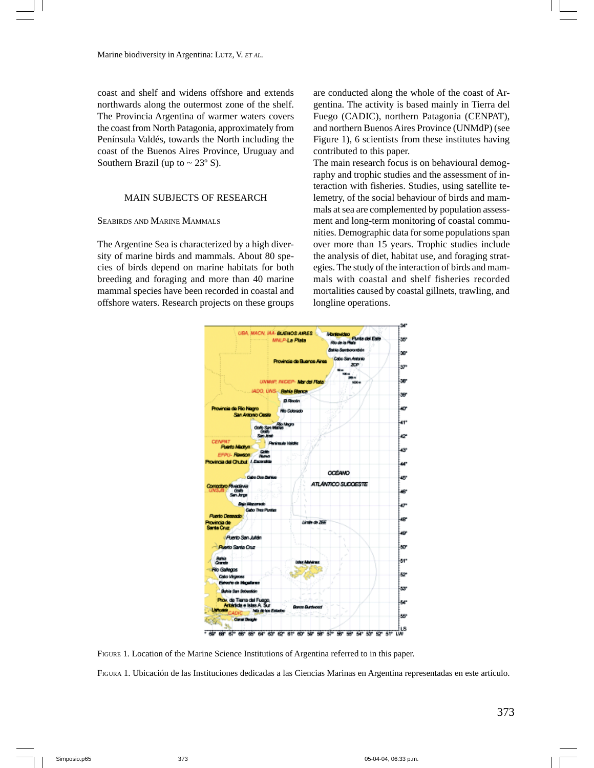Marine biodiversity in Argentina: LUTZ, V. *ET AL.*

coast and shelf and widens offshore and extends northwards along the outermost zone of the shelf. The Provincia Argentina of warmer waters covers the coast from North Patagonia, approximately from Península Valdés, towards the North including the coast of the Buenos Aires Province, Uruguay and Southern Brazil (up to  $\sim$  23 $\degree$  S).

### MAIN SUBJECTS OF RESEARCH

#### SEABIRDS AND MARINE MAMMALS

The Argentine Sea is characterized by a high diversity of marine birds and mammals. About 80 species of birds depend on marine habitats for both breeding and foraging and more than 40 marine mammal species have been recorded in coastal and offshore waters. Research projects on these groups are conducted along the whole of the coast of Argentina. The activity is based mainly in Tierra del Fuego (CADIC), northern Patagonia (CENPAT), and northern Buenos Aires Province (UNMdP) (see Figure 1), 6 scientists from these institutes having contributed to this paper.

The main research focus is on behavioural demography and trophic studies and the assessment of interaction with fisheries. Studies, using satellite telemetry, of the social behaviour of birds and mammals at sea are complemented by population assessment and long-term monitoring of coastal communities. Demographic data for some populations span over more than 15 years. Trophic studies include the analysis of diet, habitat use, and foraging strategies. The study of the interaction of birds and mammals with coastal and shelf fisheries recorded mortalities caused by coastal gillnets, trawling, and longline operations.



FIGURE 1*.* Location of the Marine Science Institutions of Argentina referred to in this paper.

FIGURA 1. Ubicación de las Instituciones dedicadas a las Ciencias Marinas en Argentina representadas en este artículo.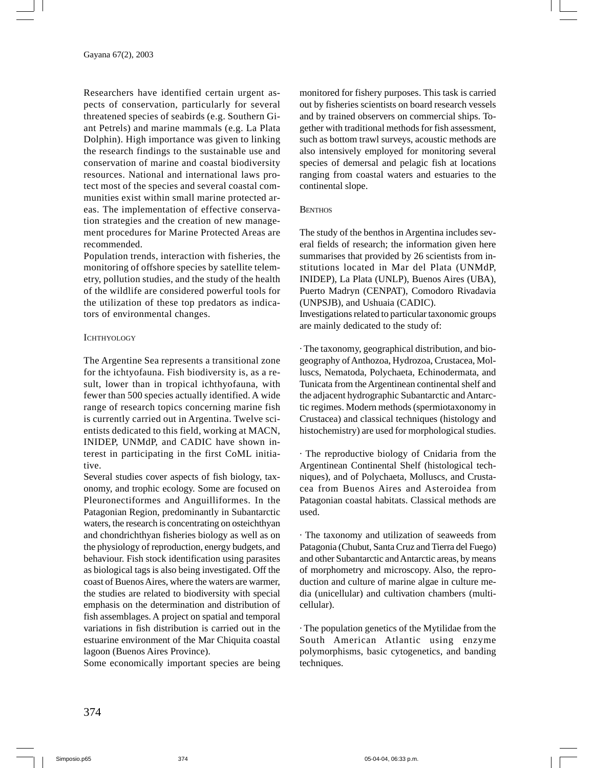Researchers have identified certain urgent aspects of conservation, particularly for several threatened species of seabirds (e.g. Southern Giant Petrels) and marine mammals (e.g. La Plata Dolphin). High importance was given to linking the research findings to the sustainable use and conservation of marine and coastal biodiversity resources. National and international laws protect most of the species and several coastal communities exist within small marine protected areas. The implementation of effective conservation strategies and the creation of new management procedures for Marine Protected Areas are recommended.

Population trends, interaction with fisheries, the monitoring of offshore species by satellite telemetry, pollution studies, and the study of the health of the wildlife are considered powerful tools for the utilization of these top predators as indicators of environmental changes.

#### **ICHTHYOLOGY**

The Argentine Sea represents a transitional zone for the ichtyofauna. Fish biodiversity is, as a result, lower than in tropical ichthyofauna, with fewer than 500 species actually identified. A wide range of research topics concerning marine fish is currently carried out in Argentina. Twelve scientists dedicated to this field, working at MACN, INIDEP, UNMdP, and CADIC have shown interest in participating in the first CoML initiative.

Several studies cover aspects of fish biology, taxonomy, and trophic ecology. Some are focused on Pleuronectiformes and Anguilliformes. In the Patagonian Region, predominantly in Subantarctic waters, the research is concentrating on osteichthyan and chondrichthyan fisheries biology as well as on the physiology of reproduction, energy budgets, and behaviour. Fish stock identification using parasites as biological tags is also being investigated. Off the coast of Buenos Aires, where the waters are warmer, the studies are related to biodiversity with special emphasis on the determination and distribution of fish assemblages. A project on spatial and temporal variations in fish distribution is carried out in the estuarine environment of the Mar Chiquita coastal lagoon (Buenos Aires Province).

Some economically important species are being

monitored for fishery purposes. This task is carried out by fisheries scientists on board research vessels and by trained observers on commercial ships. Together with traditional methods for fish assessment, such as bottom trawl surveys, acoustic methods are also intensively employed for monitoring several species of demersal and pelagic fish at locations ranging from coastal waters and estuaries to the continental slope.

#### **BENTHOS**

The study of the benthos in Argentina includes several fields of research; the information given here summarises that provided by 26 scientists from institutions located in Mar del Plata (UNMdP, INIDEP), La Plata (UNLP), Buenos Aires (UBA), Puerto Madryn (CENPAT), Comodoro Rivadavia (UNPSJB), and Ushuaia (CADIC). Investigations related to particular taxonomic groups are mainly dedicated to the study of:

· The taxonomy, geographical distribution, and biogeography of Anthozoa, Hydrozoa, Crustacea, Molluscs, Nematoda, Polychaeta, Echinodermata, and Tunicata from the Argentinean continental shelf and the adjacent hydrographic Subantarctic and Antarctic regimes. Modern methods (spermiotaxonomy in Crustacea) and classical techniques (histology and histochemistry) are used for morphological studies.

· The reproductive biology of Cnidaria from the Argentinean Continental Shelf (histological techniques), and of Polychaeta, Molluscs, and Crustacea from Buenos Aires and Asteroidea from Patagonian coastal habitats. Classical methods are used.

· The taxonomy and utilization of seaweeds from Patagonia (Chubut, Santa Cruz and Tierra del Fuego) and other Subantarctic and Antarctic areas, by means of morphometry and microscopy. Also, the reproduction and culture of marine algae in culture media (unicellular) and cultivation chambers (multicellular).

· The population genetics of the Mytilidae from the South American Atlantic using enzyme polymorphisms, basic cytogenetics, and banding techniques.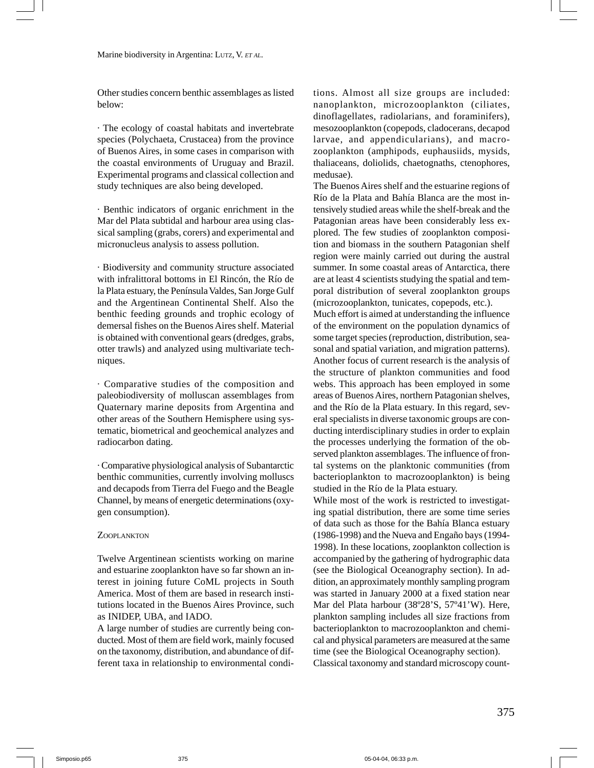Other studies concern benthic assemblages as listed below:

· The ecology of coastal habitats and invertebrate species (Polychaeta, Crustacea) from the province of Buenos Aires, in some cases in comparison with the coastal environments of Uruguay and Brazil. Experimental programs and classical collection and study techniques are also being developed.

· Benthic indicators of organic enrichment in the Mar del Plata subtidal and harbour area using classical sampling (grabs, corers) and experimental and micronucleus analysis to assess pollution.

· Biodiversity and community structure associated with infralittoral bottoms in El Rincón, the Río de la Plata estuary, the Península Valdes, San Jorge Gulf and the Argentinean Continental Shelf. Also the benthic feeding grounds and trophic ecology of demersal fishes on the Buenos Aires shelf. Material is obtained with conventional gears (dredges, grabs, otter trawls) and analyzed using multivariate techniques.

· Comparative studies of the composition and paleobiodiversity of molluscan assemblages from Quaternary marine deposits from Argentina and other areas of the Southern Hemisphere using systematic, biometrical and geochemical analyzes and radiocarbon dating.

· Comparative physiological analysis of Subantarctic benthic communities, currently involving molluscs and decapods from Tierra del Fuego and the Beagle Channel, by means of energetic determinations (oxygen consumption).

#### ZOOPLANKTON

Twelve Argentinean scientists working on marine and estuarine zooplankton have so far shown an interest in joining future CoML projects in South America. Most of them are based in research institutions located in the Buenos Aires Province, such as INIDEP, UBA, and IADO.

A large number of studies are currently being conducted. Most of them are field work, mainly focused on the taxonomy, distribution, and abundance of different taxa in relationship to environmental conditions. Almost all size groups are included: nanoplankton, microzooplankton (ciliates, dinoflagellates, radiolarians, and foraminifers), mesozooplankton (copepods, cladocerans, decapod larvae, and appendicularians), and macrozooplankton (amphipods, euphausiids, mysids, thaliaceans, doliolids, chaetognaths, ctenophores, medusae).

The Buenos Aires shelf and the estuarine regions of Río de la Plata and Bahía Blanca are the most intensively studied areas while the shelf-break and the Patagonian areas have been considerably less explored. The few studies of zooplankton composition and biomass in the southern Patagonian shelf region were mainly carried out during the austral summer. In some coastal areas of Antarctica, there are at least 4 scientists studying the spatial and temporal distribution of several zooplankton groups (microzooplankton, tunicates, copepods, etc.).

Much effort is aimed at understanding the influence of the environment on the population dynamics of some target species (reproduction, distribution, seasonal and spatial variation, and migration patterns). Another focus of current research is the analysis of the structure of plankton communities and food webs. This approach has been employed in some areas of Buenos Aires, northern Patagonian shelves, and the Río de la Plata estuary. In this regard, several specialists in diverse taxonomic groups are conducting interdisciplinary studies in order to explain the processes underlying the formation of the observed plankton assemblages. The influence of frontal systems on the planktonic communities (from bacterioplankton to macrozooplankton) is being studied in the Río de la Plata estuary.

While most of the work is restricted to investigating spatial distribution, there are some time series of data such as those for the Bahía Blanca estuary (1986-1998) and the Nueva and Engaño bays (1994- 1998). In these locations, zooplankton collection is accompanied by the gathering of hydrographic data (see the Biological Oceanography section). In addition, an approximately monthly sampling program was started in January 2000 at a fixed station near Mar del Plata harbour (38º28'S, 57º41'W). Here, plankton sampling includes all size fractions from bacterioplankton to macrozooplankton and chemical and physical parameters are measured at the same time (see the Biological Oceanography section). Classical taxonomy and standard microscopy count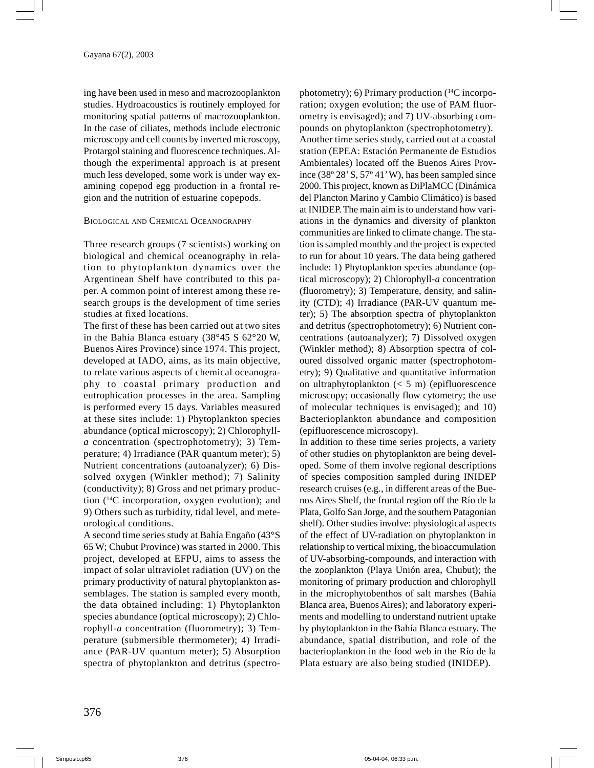ing have been used in meso and macrozooplankton studies. Hydroacoustics is routinely employed for monitoring spatial patterns of macrozooplankton. In the case of ciliates, methods include electronic microscopy and cell counts by inverted microscopy, Protargol staining and fluorescence techniques. Although the experimental approach is at present much less developed, some work is under way examining copepod egg production in a frontal region and the nutrition of estuarine copepods.

#### BIOLOGICAL AND CHEMICAL OCEANOGRAPHY

Three research groups (7 scientists) working on biological and chemical oceanography in relation to phytoplankton dynamics over the Argentinean Shelf have contributed to this paper. A common point of interest among these research groups is the development of time series studies at fixed locations.

The first of these has been carried out at two sites in the Bahía Blanca estuary (38°45 S 62°20 W, Buenos Aires Province) since 1974. This project, developed at IADO, aims, as its main objective, to relate various aspects of chemical oceanography to coastal primary production and eutrophication processes in the area. Sampling is performed every 15 days. Variables measured at these sites include: 1) Phytoplankton species abundance (optical microscopy); 2) Chlorophyll*a* concentration (spectrophotometry); 3) Temperature; 4) Irradiance (PAR quantum meter); 5) Nutrient concentrations (autoanalyzer); 6) Dissolved oxygen (Winkler method); 7) Salinity (conductivity); 8) Gross and net primary production (14C incorporation, oxygen evolution); and 9) Others such as turbidity, tidal level, and meteorological conditions.

A second time series study at Bahía Engaño (43°S 65 W; Chubut Province) was started in 2000. This project, developed at EFPU, aims to assess the impact of solar ultraviolet radiation (UV) on the primary productivity of natural phytoplankton assemblages. The station is sampled every month, the data obtained including: 1) Phytoplankton species abundance (optical microscopy); 2) Chlorophyll-*a* concentration (fluorometry); 3) Temperature (submersible thermometer); 4) Irradiance (PAR-UV quantum meter); 5) Absorption spectra of phytoplankton and detritus (spectrophotometry); 6) Primary production  $(^{14}C$  incorporation; oxygen evolution; the use of PAM fluorometry is envisaged); and 7) UV-absorbing compounds on phytoplankton (spectrophotometry). Another time series study, carried out at a coastal station (EPEA: Estación Permanente de Estudios Ambientales) located off the Buenos Aires Province (38º 28' S, 57º 41' W), has been sampled since 2000. This project, known as DiPlaMCC (Dinámica del Plancton Marino y Cambio Climático) is based at INIDEP. The main aim is to understand how variations in the dynamics and diversity of plankton communities are linked to climate change. The station is sampled monthly and the project is expected to run for about 10 years. The data being gathered include: 1) Phytoplankton species abundance (optical microscopy); 2) Chlorophyll-*a* concentration (fluorometry); 3) Temperature, density, and salinity (CTD); 4) Irradiance (PAR-UV quantum meter); 5) The absorption spectra of phytoplankton and detritus (spectrophotometry); 6) Nutrient concentrations (autoanalyzer); 7) Dissolved oxygen (Winkler method); 8) Absorption spectra of coloured dissolved organic matter (spectrophotometry); 9) Qualitative and quantitative information on ultraphytoplankton (< 5 m) (epifluorescence microscopy; occasionally flow cytometry; the use of molecular techniques is envisaged); and 10) Bacterioplankton abundance and composition (epifluorescence microscopy).

In addition to these time series projects, a variety of other studies on phytoplankton are being developed. Some of them involve regional descriptions of species composition sampled during INIDEP research cruises (e.g., in different areas of the Buenos Aires Shelf, the frontal region off the Río de la Plata, Golfo San Jorge, and the southern Patagonian shelf). Other studies involve: physiological aspects of the effect of UV-radiation on phytoplankton in relationship to vertical mixing, the bioaccumulation of UV-absorbing-compounds, and interaction with the zooplankton (Playa Unión area, Chubut); the monitoring of primary production and chlorophyll in the microphytobenthos of salt marshes (Bahía Blanca area, Buenos Aires); and laboratory experiments and modelling to understand nutrient uptake by phytoplankton in the Bahía Blanca estuary. The abundance, spatial distribution, and role of the bacterioplankton in the food web in the Río de la Plata estuary are also being studied (INIDEP).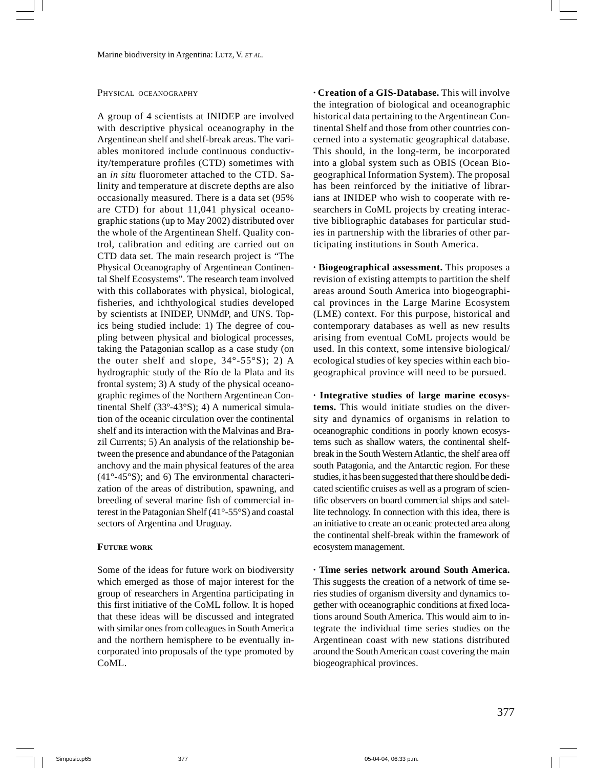#### PHYSICAL OCEANOGRAPHY

A group of 4 scientists at INIDEP are involved with descriptive physical oceanography in the Argentinean shelf and shelf-break areas. The variables monitored include continuous conductivity/temperature profiles (CTD) sometimes with an *in situ* fluorometer attached to the CTD. Salinity and temperature at discrete depths are also occasionally measured. There is a data set (95% are CTD) for about 11,041 physical oceanographic stations (up to May 2002) distributed over the whole of the Argentinean Shelf. Quality control, calibration and editing are carried out on CTD data set. The main research project is "The Physical Oceanography of Argentinean Continental Shelf Ecosystems". The research team involved with this collaborates with physical, biological, fisheries, and ichthyological studies developed by scientists at INIDEP, UNMdP, and UNS. Topics being studied include: 1) The degree of coupling between physical and biological processes, taking the Patagonian scallop as a case study (on the outer shelf and slope,  $34^{\circ}$ - $55^{\circ}$ S); 2) A hydrographic study of the Río de la Plata and its frontal system; 3) A study of the physical oceanographic regimes of the Northern Argentinean Continental Shelf (33º-43°S); 4) A numerical simulation of the oceanic circulation over the continental shelf and its interaction with the Malvinas and Brazil Currents; 5) An analysis of the relationship between the presence and abundance of the Patagonian anchovy and the main physical features of the area (41°-45°S); and 6) The environmental characterization of the areas of distribution, spawning, and breeding of several marine fish of commercial interest in the Patagonian Shelf (41°-55°S) and coastal sectors of Argentina and Uruguay.

#### **FUTURE WORK**

Some of the ideas for future work on biodiversity which emerged as those of major interest for the group of researchers in Argentina participating in this first initiative of the CoML follow. It is hoped that these ideas will be discussed and integrated with similar ones from colleagues in South America and the northern hemisphere to be eventually incorporated into proposals of the type promoted by CoML.

**· Creation of a GIS-Database.** This will involve the integration of biological and oceanographic historical data pertaining to the Argentinean Continental Shelf and those from other countries concerned into a systematic geographical database. This should, in the long-term, be incorporated into a global system such as OBIS (Ocean Biogeographical Information System). The proposal has been reinforced by the initiative of librarians at INIDEP who wish to cooperate with researchers in CoML projects by creating interactive bibliographic databases for particular studies in partnership with the libraries of other participating institutions in South America.

**· Biogeographical assessment.** This proposes a revision of existing attempts to partition the shelf areas around South America into biogeographical provinces in the Large Marine Ecosystem (LME) context. For this purpose, historical and contemporary databases as well as new results arising from eventual CoML projects would be used. In this context, some intensive biological/ ecological studies of key species within each biogeographical province will need to be pursued.

**· Integrative studies of large marine ecosystems.** This would initiate studies on the diversity and dynamics of organisms in relation to oceanographic conditions in poorly known ecosystems such as shallow waters, the continental shelfbreak in the South Western Atlantic, the shelf area off south Patagonia, and the Antarctic region. For these studies, it has been suggested that there should be dedicated scientific cruises as well as a program of scientific observers on board commercial ships and satellite technology. In connection with this idea, there is an initiative to create an oceanic protected area along the continental shelf-break within the framework of ecosystem management.

**· Time series network around South America.** This suggests the creation of a network of time series studies of organism diversity and dynamics together with oceanographic conditions at fixed locations around South America. This would aim to integrate the individual time series studies on the Argentinean coast with new stations distributed around the South American coast covering the main biogeographical provinces.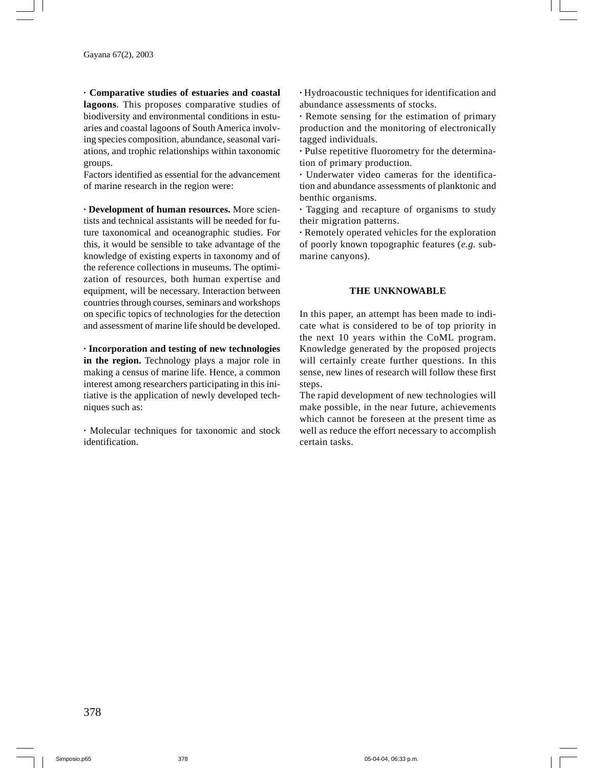**· Comparative studies of estuaries and coastal lagoons**. This proposes comparative studies of biodiversity and environmental conditions in estuaries and coastal lagoons of South America involving species composition, abundance, seasonal variations, and trophic relationships within taxonomic groups.

Factors identified as essential for the advancement of marine research in the region were:

**· Development of human resources.** More scientists and technical assistants will be needed for future taxonomical and oceanographic studies. For this, it would be sensible to take advantage of the knowledge of existing experts in taxonomy and of the reference collections in museums. The optimization of resources, both human expertise and equipment, will be necessary. Interaction between countries through courses, seminars and workshops on specific topics of technologies for the detection and assessment of marine life should be developed.

**· Incorporation and testing of new technologies in the region.** Technology plays a major role in making a census of marine life. Hence, a common interest among researchers participating in this initiative is the application of newly developed techniques such as:

**·** Molecular techniques for taxonomic and stock identification.

**·** Hydroacoustic techniques for identification and abundance assessments of stocks.

**·** Remote sensing for the estimation of primary production and the monitoring of electronically tagged individuals.

**·** Pulse repetitive fluorometry for the determination of primary production.

**·** Underwater video cameras for the identification and abundance assessments of planktonic and benthic organisms.

**·** Tagging and recapture of organisms to study their migration patterns.

**·** Remotely operated vehicles for the exploration of poorly known topographic features (*e.g.* submarine canyons).

#### **THE UNKNOWABLE**

In this paper, an attempt has been made to indicate what is considered to be of top priority in the next 10 years within the CoML program. Knowledge generated by the proposed projects will certainly create further questions. In this sense, new lines of research will follow these first steps.

The rapid development of new technologies will make possible, in the near future, achievements which cannot be foreseen at the present time as well as reduce the effort necessary to accomplish certain tasks.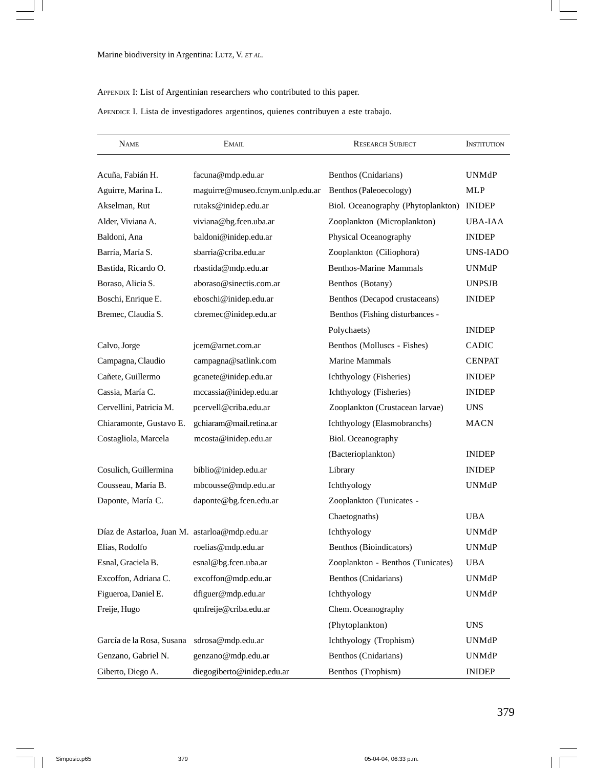## APPENDIX I: List of Argentinian researchers who contributed to this paper.

APENDICE I. Lista de investigadores argentinos, quienes contribuyen a este trabajo.

| <b>NAME</b>                                   | <b>EMAIL</b>                     | <b>RESEARCH SUBJECT</b>            | <b>INSTITUTION</b> |
|-----------------------------------------------|----------------------------------|------------------------------------|--------------------|
| Acuña, Fabián H.                              | facuna@mdp.edu.ar                | Benthos (Cnidarians)               |                    |
| Aguirre, Marina L.                            | maguirre@museo.fcnym.unlp.edu.ar | Benthos (Paleoecology)             | MLP                |
| Akselman, Rut                                 | rutaks@inidep.edu.ar             | Biol. Oceanography (Phytoplankton) | <b>INIDEP</b>      |
| Alder, Viviana A.                             | viviana@bg.fcen.uba.ar           | Zooplankton (Microplankton)        | UBA-IAA            |
| Baldoni, Ana                                  | baldoni@inidep.edu.ar            | Physical Oceanography              | <b>INIDEP</b>      |
| Barría, María S.                              | sbarria@criba.edu.ar             | Zooplankton (Ciliophora)           | <b>UNS-IADO</b>    |
| Bastida, Ricardo O.                           | rbastida@mdp.edu.ar              | <b>Benthos-Marine Mammals</b>      | <b>UNMdP</b>       |
| Boraso, Alicia S.                             | aboraso@sinectis.com.ar          | Benthos (Botany)                   | <b>UNPSJB</b>      |
| Boschi, Enrique E.                            | eboschi@inidep.edu.ar            | Benthos (Decapod crustaceans)      | <b>INIDEP</b>      |
| Bremec, Claudia S.                            | cbremec@inidep.edu.ar            | Benthos (Fishing disturbances -    |                    |
|                                               |                                  | Polychaets)                        | <b>INIDEP</b>      |
| Calvo, Jorge                                  | jcem@arnet.com.ar                | Benthos (Molluscs - Fishes)        | <b>CADIC</b>       |
| Campagna, Claudio                             | campagna@satlink.com             | Marine Mammals                     | <b>CENPAT</b>      |
| Cañete, Guillermo                             | gcanete@inidep.edu.ar            | Ichthyology (Fisheries)            | <b>INIDEP</b>      |
| Cassia, María C.                              | mccassia@inidep.edu.ar           | Ichthyology (Fisheries)            | <b>INIDEP</b>      |
| Cervellini, Patricia M.                       | pcervell@criba.edu.ar            | Zooplankton (Crustacean larvae)    | <b>UNS</b>         |
| Chiaramonte, Gustavo E.                       | gchiaram@mail.retina.ar          | Ichthyology (Elasmobranchs)        | MACN               |
| Costagliola, Marcela                          | mcosta@inidep.edu.ar             | Biol. Oceanography                 |                    |
|                                               |                                  | (Bacterioplankton)                 | <b>INIDEP</b>      |
| Cosulich, Guillermina                         | biblio@inidep.edu.ar<br>Library  |                                    | <b>INIDEP</b>      |
| Cousseau, María B.                            | mbcousse@mdp.edu.ar              | Ichthyology                        | <b>UNMdP</b>       |
| Daponte, María C.                             | daponte@bg.fcen.edu.ar           | Zooplankton (Tunicates -           |                    |
|                                               |                                  | Chaetognaths)                      | <b>UBA</b>         |
| Díaz de Astarloa, Juan M. astarloa@mdp.edu.ar |                                  | Ichthyology                        | <b>UNMdP</b>       |
| Elías, Rodolfo                                | roelias@mdp.edu.ar               | Benthos (Bioindicators)            | UNMdP              |
| Esnal. Graciela B.                            | esnal@bg.fcen.uba.ar             | Zooplankton - Benthos (Tunicates)  | UBA                |
| Excoffon, Adriana C.                          | excoffon@mdp.edu.ar              | Benthos (Cnidarians)               | UNMdP              |
| Figueroa, Daniel E.                           | dfiguer@mdp.edu.ar               | Ichthyology                        | <b>UNMdP</b>       |
| qmfreije@criba.edu.ar<br>Freije, Hugo         |                                  | Chem. Oceanography                 |                    |
|                                               |                                  | (Phytoplankton)                    | <b>UNS</b>         |
| García de la Rosa, Susana                     | sdrosa@mdp.edu.ar                | Ichthyology (Trophism)             |                    |
| Genzano, Gabriel N.                           | genzano@mdp.edu.ar               | Benthos (Cnidarians)               | <b>UNMdP</b>       |
| Giberto, Diego A.                             | diegogiberto@inidep.edu.ar       | Benthos (Trophism)                 | <b>INIDEP</b>      |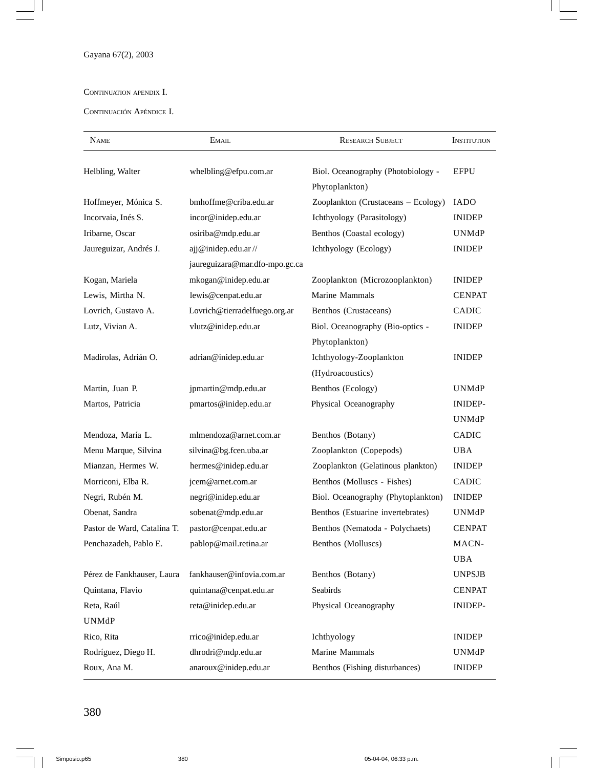$\equiv$ 

### CONTINUATION APENDIX I.

CONTINUACIÓN APÉNDICE I.

| <b>NAME</b>                 | EMAIL                          | <b>RESEARCH SUBJECT</b>                              | <b>INSTITUTION</b> |
|-----------------------------|--------------------------------|------------------------------------------------------|--------------------|
| Helbling, Walter            | whelbling@efpu.com.ar          | Biol. Oceanography (Photobiology -<br>Phytoplankton) | <b>EFPU</b>        |
| Hoffmeyer, Mónica S.        | bmhoffme@criba.edu.ar          | Zooplankton (Crustaceans - Ecology)                  | <b>IADO</b>        |
| Incorvaia, Inés S.          | incor@inidep.edu.ar            | Ichthyology (Parasitology)                           | <b>INIDEP</b>      |
| Iribarne, Oscar             | osiriba@mdp.edu.ar             | Benthos (Coastal ecology)                            | UNMdP              |
| Jaureguizar, Andrés J.      | ajj@inidep.edu.ar//            | Ichthyology (Ecology)                                | <b>INIDEP</b>      |
|                             | jaureguizara@mar.dfo-mpo.gc.ca |                                                      |                    |
| Kogan, Mariela              | mkogan@inidep.edu.ar           | Zooplankton (Microzooplankton)                       | <b>INIDEP</b>      |
| Lewis, Mirtha N.            | lewis@cenpat.edu.ar            | Marine Mammals                                       | <b>CENPAT</b>      |
| Lovrich, Gustavo A.         | Lovrich@tierradelfuego.org.ar  | Benthos (Crustaceans)                                | <b>CADIC</b>       |
| Lutz, Vivian A.             | vlutz@inidep.edu.ar            | Biol. Oceanography (Bio-optics -                     | <b>INIDEP</b>      |
|                             |                                | Phytoplankton)                                       |                    |
| Madirolas, Adrián O.        | adrian@inidep.edu.ar           | Ichthyology-Zooplankton                              | <b>INIDEP</b>      |
|                             |                                | (Hydroacoustics)                                     |                    |
| Martin, Juan P.             | jpmartin@mdp.edu.ar            | Benthos (Ecology)                                    | UNMdP              |
| Martos, Patricia            | pmartos@inidep.edu.ar          | Physical Oceanography                                | INIDEP-            |
|                             |                                |                                                      | <b>UNMdP</b>       |
| Mendoza, María L.           | mlmendoza@arnet.com.ar         | Benthos (Botany)                                     |                    |
| Menu Marque, Silvina        | silvina@bg.fcen.uba.ar         | Zooplankton (Copepods)                               | <b>UBA</b>         |
| Mianzan, Hermes W.          | hermes@inidep.edu.ar           | Zooplankton (Gelatinous plankton)                    | <b>INIDEP</b>      |
| Morriconi, Elba R.          | jcem@arnet.com.ar              | Benthos (Molluscs - Fishes)                          | <b>CADIC</b>       |
| Negri, Rubén M.             | negri@inidep.edu.ar            | Biol. Oceanography (Phytoplankton)                   | <b>INIDEP</b>      |
| Obenat, Sandra              | sobenat@mdp.edu.ar             | Benthos (Estuarine invertebrates)                    | UNMdP              |
| Pastor de Ward, Catalina T. | pastor@cenpat.edu.ar           | Benthos (Nematoda - Polychaets)                      | <b>CENPAT</b>      |
| Penchazadeh, Pablo E.       | pablop@mail.retina.ar          | Benthos (Molluscs)                                   | MACN-              |
|                             |                                |                                                      | UBA                |
| Pérez de Fankhauser, Laura  | fankhauser@infovia.com.ar      | Benthos (Botany)                                     | <b>UNPSJB</b>      |
| Quintana, Flavio            | quintana@cenpat.edu.ar         | Seabirds                                             | <b>CENPAT</b>      |
| Reta, Raúl                  | reta@inidep.edu.ar             | Physical Oceanography                                | INIDEP-            |
| UNMdP                       |                                |                                                      |                    |
| Rico, Rita                  | rrico@inidep.edu.ar            | Ichthyology                                          |                    |
| Rodríguez, Diego H.         | dhrodri@mdp.edu.ar             | Marine Mammals                                       | UNMdP              |
| Roux, Ana M.                | anaroux@inidep.edu.ar          | Benthos (Fishing disturbances)                       | <b>INIDEP</b>      |

380

 $|$ 

 $\overline{\phantom{0}}$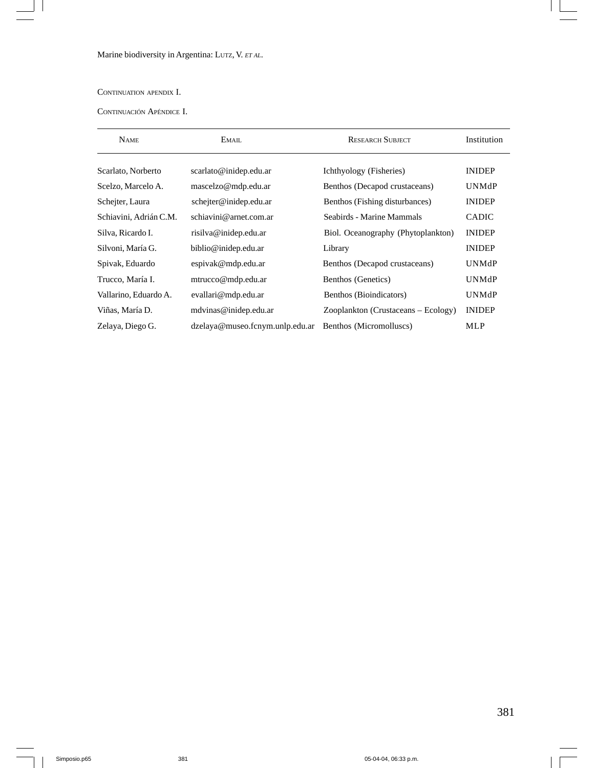Marine biodiversity in Argentina: LUTZ, V. *ET AL.*

CONTINUATION APENDIX I.

 $\frac{1}{2}$ 

CONTINUACIÓN APÉNDICE I.

| <b>NAME</b>                                  | <b>RESEARCH SUBJECT</b><br>EMAIL |                                     | Institution   |
|----------------------------------------------|----------------------------------|-------------------------------------|---------------|
| Scarlato, Norberto                           | scarlato@inidep.edu.ar           | Ichthyology (Fisheries)             | <b>INIDEP</b> |
| Scelzo, Marcelo A.                           | mascelzo@mdp.edu.ar              | Benthos (Decapod crustaceans)       | <b>UNMdP</b>  |
| Schejter, Laura                              | schejter@inidep.edu.ar           | Benthos (Fishing disturbances)      | <b>INIDEP</b> |
| Schiavini, Adrián C.M.                       | schiavini@arnet.com.ar           | Seabirds - Marine Mammals           | <b>CADIC</b>  |
| Silva, Ricardo I.                            | risilva@inidep.edu.ar            | Biol. Oceanography (Phytoplankton)  | <b>INIDEP</b> |
| Silvoni, María G.                            | biblio@inidep.edu.ar             | Library                             | <b>INIDEP</b> |
| Spivak, Eduardo                              | espivak@mdp.edu.ar               | Benthos (Decapod crustaceans)       | <b>UNMdP</b>  |
| Trucco, María I.<br>mtrucco@mdp.edu.ar       |                                  | Benthos (Genetics)                  | <b>UNMdP</b>  |
| Vallarino, Eduardo A.<br>evallari@mdp.edu.ar |                                  | Benthos (Bioindicators)             | <b>UNMdP</b>  |
| Viñas, María D.                              | mdvinas@inidep.edu.ar            | Zooplankton (Crustaceans – Ecology) | <b>INIDEP</b> |
| Zelaya, Diego G.                             | dzelaya@museo.fcnym.unlp.edu.ar  | Benthos (Micromolluscs)             | MLP           |

L  $\overline{\phantom{0}}$ 

 $\overline{\phantom{0}}$